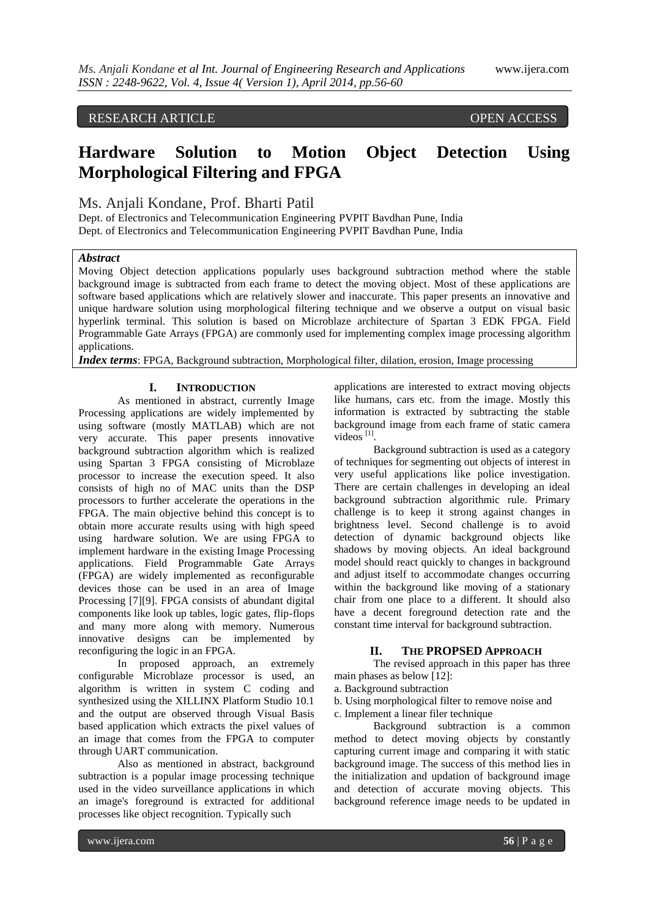# RESEARCH ARTICLE OPEN ACCESS

# **Hardware Solution to Motion Object Detection Using Morphological Filtering and FPGA**

## Ms. Anjali Kondane, Prof. Bharti Patil

Dept. of Electronics and Telecommunication Engineering PVPIT Bavdhan Pune, India Dept. of Electronics and Telecommunication Engineering PVPIT Bavdhan Pune, India

## *Abstract*

Moving Object detection applications popularly uses background subtraction method where the stable background image is subtracted from each frame to detect the moving object. Most of these applications are software based applications which are relatively slower and inaccurate. This paper presents an innovative and unique hardware solution using morphological filtering technique and we observe a output on visual basic hyperlink terminal. This solution is based on Microblaze architecture of Spartan 3 EDK FPGA. Field Programmable Gate Arrays (FPGA) are commonly used for implementing complex image processing algorithm applications.

*Index terms*: FPGA, Background subtraction, Morphological filter, dilation, erosion, Image processing

#### **I. INTRODUCTION**

As mentioned in abstract, currently Image Processing applications are widely implemented by using software (mostly MATLAB) which are not very accurate. This paper presents innovative background subtraction algorithm which is realized using Spartan 3 FPGA consisting of Microblaze processor to increase the execution speed. It also consists of high no of MAC units than the DSP processors to further accelerate the operations in the FPGA. The main objective behind this concept is to obtain more accurate results using with high speed using hardware solution. We are using FPGA to implement hardware in the existing Image Processing applications. Field Programmable Gate Arrays (FPGA) are widely implemented as reconfigurable devices those can be used in an area of Image Processing [7][9]. FPGA consists of abundant digital components like look up tables, logic gates, flip-flops and many more along with memory. Numerous innovative designs can be implemented by reconfiguring the logic in an FPGA.

In proposed approach, an extremely configurable Microblaze processor is used, an algorithm is written in system C coding and synthesized using the XILLINX Platform Studio 10.1 and the output are observed through Visual Basis based application which extracts the pixel values of an image that comes from the FPGA to computer through UART communication.

Also as mentioned in abstract, background subtraction is a popular image processing technique used in the video surveillance applications in which an image's foreground is extracted for additional processes like object recognition. Typically such

applications are interested to extract moving objects like humans, cars etc. from the image. Mostly this information is extracted by subtracting the stable background image from each frame of static camera videos<sup>[1]</sup>.

Background subtraction is used as a category of techniques for segmenting out objects of interest in very useful applications like police investigation. There are certain challenges in developing an ideal background subtraction algorithmic rule. Primary challenge is to keep it strong against changes in brightness level. Second challenge is to avoid detection of dynamic background objects like shadows by moving objects. An ideal background model should react quickly to changes in background and adjust itself to accommodate changes occurring within the background like moving of a stationary chair from one place to a different. It should also have a decent foreground detection rate and the constant time interval for background subtraction.

#### **II. THE PROPSED APPROACH**

The revised approach in this paper has three main phases as below [12]:

- a. Background subtraction
- b. Using morphological filter to remove noise and c. Implement a linear filer technique

Background subtraction is a common method to detect moving objects by constantly capturing current image and comparing it with static background image. The success of this method lies in the initialization and updation of background image and detection of accurate moving objects. This background reference image needs to be updated in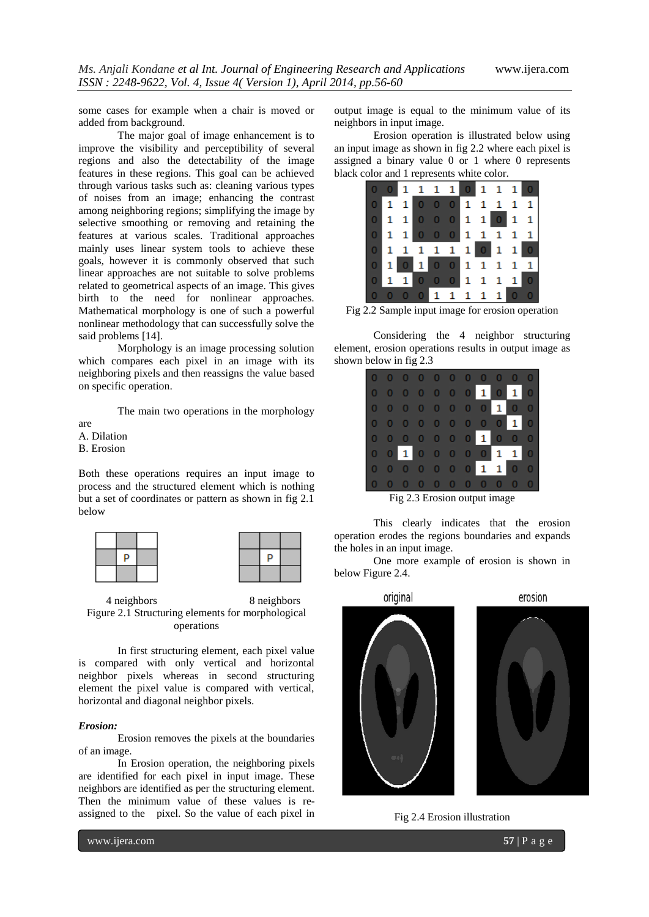some cases for example when a chair is moved or added from background.

The major goal of image enhancement is to improve the visibility and perceptibility of several regions and also the detectability of the image features in these regions. This goal can be achieved through various tasks such as: cleaning various types of noises from an image; enhancing the contrast among neighboring regions; simplifying the image by selective smoothing or removing and retaining the features at various scales. Traditional approaches mainly uses linear system tools to achieve these goals, however it is commonly observed that such linear approaches are not suitable to solve problems related to geometrical aspects of an image. This gives birth to the need for nonlinear approaches. Mathematical morphology is one of such a powerful nonlinear methodology that can successfully solve the said problems [14].

Morphology is an image processing solution which compares each pixel in an image with its neighboring pixels and then reassigns the value based on specific operation.

The main two operations in the morphology

are

A. Dilation

B. Erosion

Both these operations requires an input image to process and the structured element which is nothing but a set of coordinates or pattern as shown in fig 2.1 below





4 neighbors 8 neighbors Figure 2.1 Structuring elements for morphological operations

In first structuring element, each pixel value is compared with only vertical and horizontal neighbor pixels whereas in second structuring element the pixel value is compared with vertical, horizontal and diagonal neighbor pixels.

#### *Erosion:*

Erosion removes the pixels at the boundaries of an image.

In Erosion operation, the neighboring pixels are identified for each pixel in input image. These neighbors are identified as per the structuring element. Then the minimum value of these values is reassigned to the pixel. So the value of each pixel in output image is equal to the minimum value of its neighbors in input image.

Erosion operation is illustrated below using an input image as shown in fig 2.2 where each pixel is assigned a binary value 0 or 1 where 0 represents black color and 1 represents white color.



Fig 2.2 Sample input image for erosion operation

Considering the 4 neighbor structuring element, erosion operations results in output image as shown below in fig 2.3

| $\mathbf{F}$ and $\mathbf{F}$ and $\mathbf{F}$ and $\mathbf{F}$ and $\mathbf{F}$ and $\mathbf{F}$ and $\mathbf{F}$ and $\mathbf{F}$ and $\mathbf{F}$ and $\mathbf{F}$ and $\mathbf{F}$ and $\mathbf{F}$ and $\mathbf{F}$ and $\mathbf{F}$ and $\mathbf{F}$ and $\mathbf{F}$ and $\mathbf{F}$ and |  |  |  |  |  |  |                                   |  |  |  |
|--------------------------------------------------------------------------------------------------------------------------------------------------------------------------------------------------------------------------------------------------------------------------------------------------|--|--|--|--|--|--|-----------------------------------|--|--|--|
|                                                                                                                                                                                                                                                                                                  |  |  |  |  |  |  | 0 0 0 0 0 0 0 0 0 0               |  |  |  |
|                                                                                                                                                                                                                                                                                                  |  |  |  |  |  |  | 0 0 0 0 0 0 0 1 1 0 0             |  |  |  |
|                                                                                                                                                                                                                                                                                                  |  |  |  |  |  |  | 0 0 1 0 0 0 0 0 1 1 0             |  |  |  |
|                                                                                                                                                                                                                                                                                                  |  |  |  |  |  |  | 0 0 0 0 0 0 0 1 0 0 0             |  |  |  |
|                                                                                                                                                                                                                                                                                                  |  |  |  |  |  |  | 0 0 0 0 0 0 0 0 0 1 0             |  |  |  |
|                                                                                                                                                                                                                                                                                                  |  |  |  |  |  |  | 0 0 0 0 0 0 0 0 1 0 0             |  |  |  |
|                                                                                                                                                                                                                                                                                                  |  |  |  |  |  |  | 00000001010                       |  |  |  |
|                                                                                                                                                                                                                                                                                                  |  |  |  |  |  |  | $0\ 0\ 0\ 0\ 0\ 0\ 0\ 0\ 0\ 0\ 0$ |  |  |  |
|                                                                                                                                                                                                                                                                                                  |  |  |  |  |  |  |                                   |  |  |  |

Fig 2.3 Erosion output image

This clearly indicates that the erosion operation erodes the regions boundaries and expands the holes in an input image.

One more example of erosion is shown in below Figure 2.4.



Fig 2.4 Erosion illustration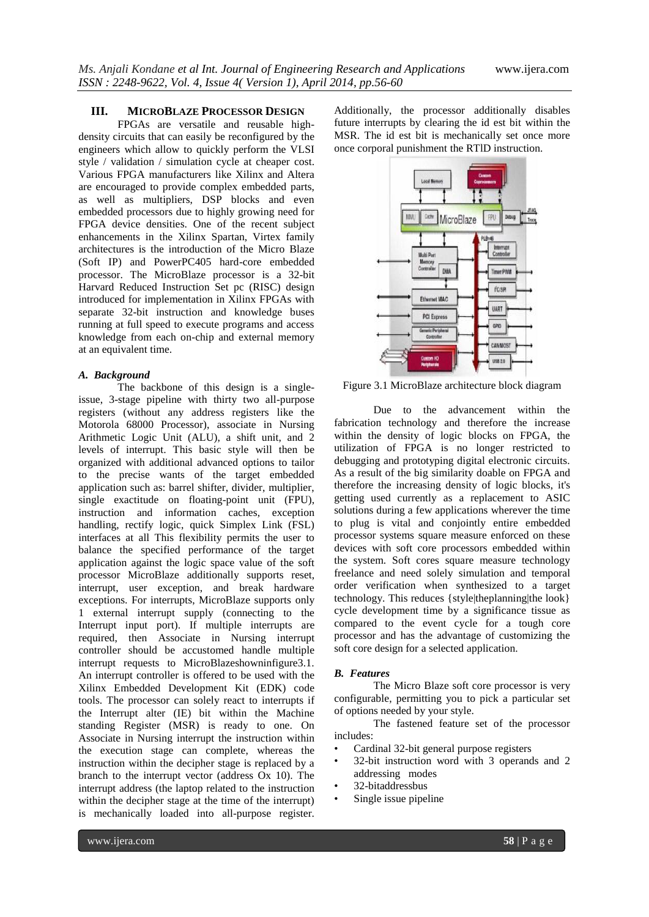### **III. MICROBLAZE PROCESSOR DESIGN**

FPGAs are versatile and reusable highdensity circuits that can easily be reconfigured by the engineers which allow to quickly perform the VLSI style / validation / simulation cycle at cheaper cost. Various FPGA manufacturers like Xilinx and Altera are encouraged to provide complex embedded parts, as well as multipliers, DSP blocks and even embedded processors due to highly growing need for FPGA device densities. One of the recent subject enhancements in the Xilinx Spartan, Virtex family architectures is the introduction of the Micro Blaze (Soft IP) and PowerPC405 hard-core embedded processor. The MicroBlaze processor is a 32-bit Harvard Reduced Instruction Set pc (RISC) design introduced for implementation in Xilinx FPGAs with separate 32-bit instruction and knowledge buses running at full speed to execute programs and access knowledge from each on-chip and external memory at an equivalent time.

#### *A. Background*

The backbone of this design is a singleissue, 3-stage pipeline with thirty two all-purpose registers (without any address registers like the Motorola 68000 Processor), associate in Nursing Arithmetic Logic Unit (ALU), a shift unit, and 2 levels of interrupt. This basic style will then be organized with additional advanced options to tailor to the precise wants of the target embedded application such as: barrel shifter, divider, multiplier, single exactitude on floating-point unit (FPU), instruction and information caches, exception handling, rectify logic, quick Simplex Link (FSL) interfaces at all This flexibility permits the user to balance the specified performance of the target application against the logic space value of the soft processor MicroBlaze additionally supports reset, interrupt, user exception, and break hardware exceptions. For interrupts, MicroBlaze supports only 1 external interrupt supply (connecting to the Interrupt input port). If multiple interrupts are required, then Associate in Nursing interrupt controller should be accustomed handle multiple interrupt requests to MicroBlazeshowninfigure3.1. An interrupt controller is offered to be used with the Xilinx Embedded Development Kit (EDK) code tools. The processor can solely react to interrupts if the Interrupt alter (IE) bit within the Machine standing Register (MSR) is ready to one. On Associate in Nursing interrupt the instruction within the execution stage can complete, whereas the instruction within the decipher stage is replaced by a branch to the interrupt vector (address Ox 10). The interrupt address (the laptop related to the instruction within the decipher stage at the time of the interrupt) is mechanically loaded into all-purpose register.

Additionally, the processor additionally disables future interrupts by clearing the id est bit within the MSR. The id est bit is mechanically set once more once corporal punishment the RTlD instruction.



Figure 3.1 MicroBlaze architecture block diagram

Due to the advancement within the fabrication technology and therefore the increase within the density of logic blocks on FPGA, the utilization of FPGA is no longer restricted to debugging and prototyping digital electronic circuits. As a result of the big similarity doable on FPGA and therefore the increasing density of logic blocks, it's getting used currently as a replacement to ASIC solutions during a few applications wherever the time to plug is vital and conjointly entire embedded processor systems square measure enforced on these devices with soft core processors embedded within the system. Soft cores square measure technology freelance and need solely simulation and temporal order verification when synthesized to a target technology. This reduces {style|theplanning|the look} cycle development time by a significance tissue as compared to the event cycle for a tough core processor and has the advantage of customizing the soft core design for a selected application.

#### *B. Features*

The Micro Blaze soft core processor is very configurable, permitting you to pick a particular set of options needed by your style.

The fastened feature set of the processor includes:

- Cardinal 32-bit general purpose registers
- 32-bit instruction word with 3 operands and 2 addressing modes
- 32-bitaddressbus
- Single issue pipeline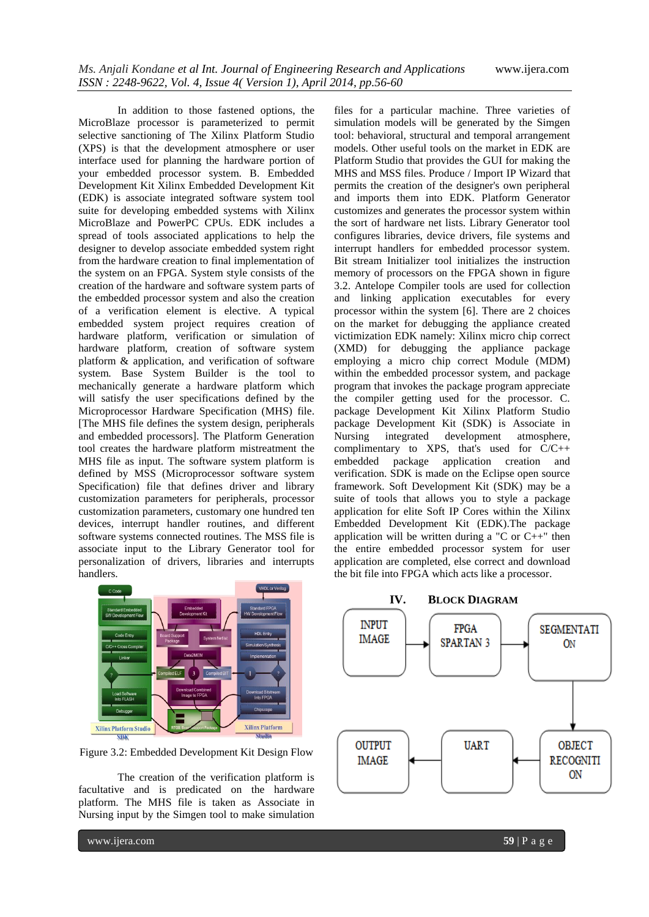In addition to those fastened options, the MicroBlaze processor is parameterized to permit selective sanctioning of The Xilinx Platform Studio (XPS) is that the development atmosphere or user interface used for planning the hardware portion of your embedded processor system. B. Embedded Development Kit Xilinx Embedded Development Kit (EDK) is associate integrated software system tool suite for developing embedded systems with Xilinx MicroBlaze and PowerPC CPUs. EDK includes a spread of tools associated applications to help the designer to develop associate embedded system right from the hardware creation to final implementation of the system on an FPGA. System style consists of the creation of the hardware and software system parts of the embedded processor system and also the creation of a verification element is elective. A typical embedded system project requires creation of hardware platform, verification or simulation of hardware platform, creation of software system platform & application, and verification of software system. Base System Builder is the tool to mechanically generate a hardware platform which will satisfy the user specifications defined by the Microprocessor Hardware Specification (MHS) file. [The MHS file defines the system design, peripherals and embedded processors]. The Platform Generation tool creates the hardware platform mistreatment the MHS file as input. The software system platform is defined by MSS (Microprocessor software system Specification) file that defines driver and library customization parameters for peripherals, processor customization parameters, customary one hundred ten devices, interrupt handler routines, and different software systems connected routines. The MSS file is associate input to the Library Generator tool for personalization of drivers, libraries and interrupts handlers.



Figure 3.2: Embedded Development Kit Design Flow

The creation of the verification platform is facultative and is predicated on the hardware platform. The MHS file is taken as Associate in Nursing input by the Simgen tool to make simulation

files for a particular machine. Three varieties of simulation models will be generated by the Simgen tool: behavioral, structural and temporal arrangement models. Other useful tools on the market in EDK are Platform Studio that provides the GUI for making the MHS and MSS files. Produce / Import IP Wizard that permits the creation of the designer's own peripheral and imports them into EDK. Platform Generator customizes and generates the processor system within the sort of hardware net lists. Library Generator tool configures libraries, device drivers, file systems and interrupt handlers for embedded processor system. Bit stream Initializer tool initializes the instruction memory of processors on the FPGA shown in figure 3.2. Antelope Compiler tools are used for collection and linking application executables for every processor within the system [6]. There are 2 choices on the market for debugging the appliance created victimization EDK namely: Xilinx micro chip correct (XMD) for debugging the appliance package employing a micro chip correct Module (MDM) within the embedded processor system, and package program that invokes the package program appreciate the compiler getting used for the processor. C. package Development Kit Xilinx Platform Studio package Development Kit (SDK) is Associate in Nursing integrated development atmosphere, complimentary to XPS, that's used for C/C++ embedded package application creation and verification. SDK is made on the Eclipse open source framework. Soft Development Kit (SDK) may be a suite of tools that allows you to style a package application for elite Soft IP Cores within the Xilinx Embedded Development Kit (EDK).The package application will be written during a "C or  $C_{++}$ " then the entire embedded processor system for user application are completed, else correct and download the bit file into FPGA which acts like a processor.



www.ijera.com **59** | P a g e